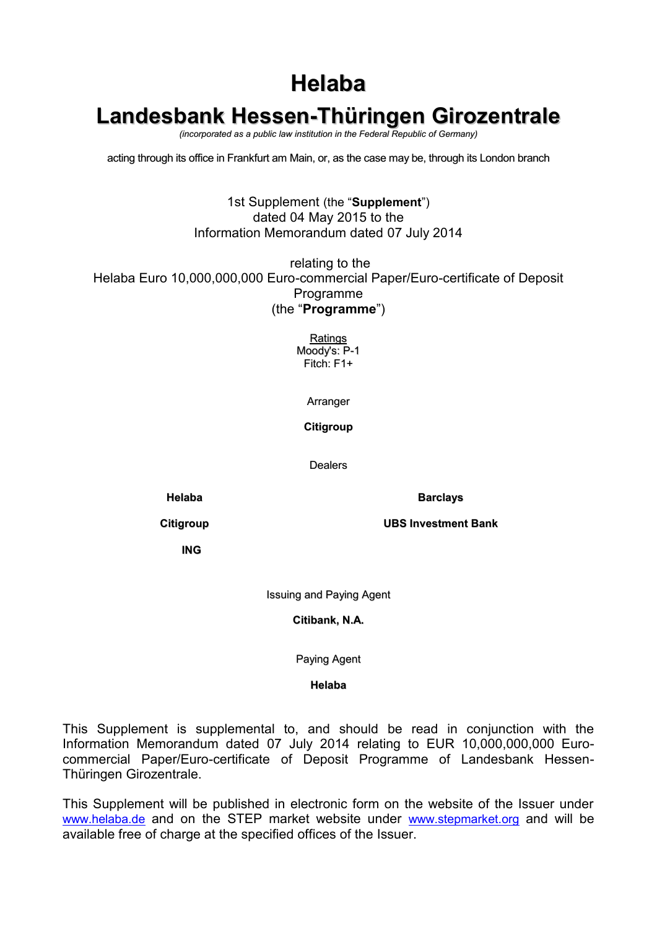# **Helaba**

# **Landesbank Hessen-Thüringen Girozentrale**

*(incorporated as a public law institution in the Federal Republic of Germany)*

acting through its office in Frankfurt am Main, or, as the case may be, through its London branch

#### 1st Supplement (the "**Supplement**") dated 04 May 2015 to the Information Memorandum dated 07 July 2014

relating to the Helaba Euro 10,000,000,000 Euro-commercial Paper/Euro-certificate of Deposit Programme (the "**Programme**")

> **Ratings** Moody's: P-1 Fitch: F1+

> > Arranger

**Citigroup**

Dealers

**Helaba Barclays**

**Citigroup UBS Investment Bank**

**ING**

Issuing and Paying Agent

**Citibank, N.A.**

Paying Agent

**Helaba**

This Supplement is supplemental to, and should be read in conjunction with the Information Memorandum dated 07 July 2014 relating to EUR 10,000,000,000 Eurocommercial Paper/Euro-certificate of Deposit Programme of Landesbank Hessen-Thüringen Girozentrale.

This Supplement will be published in electronic form on the website of the Issuer under [www.helaba.de](../../../Dokumente%20und%20Einstellungen/RPE/Lokale%20Einstellungen/Temporary%20Internet%20Files/Content.Outlook/ECP_ECD%20Programm%202012_Annual%20Update/www.helaba.de) and on the STEP market website under [www.stepmarket.org](http://www.stepmarket.org/) and will be available free of charge at the specified offices of the Issuer.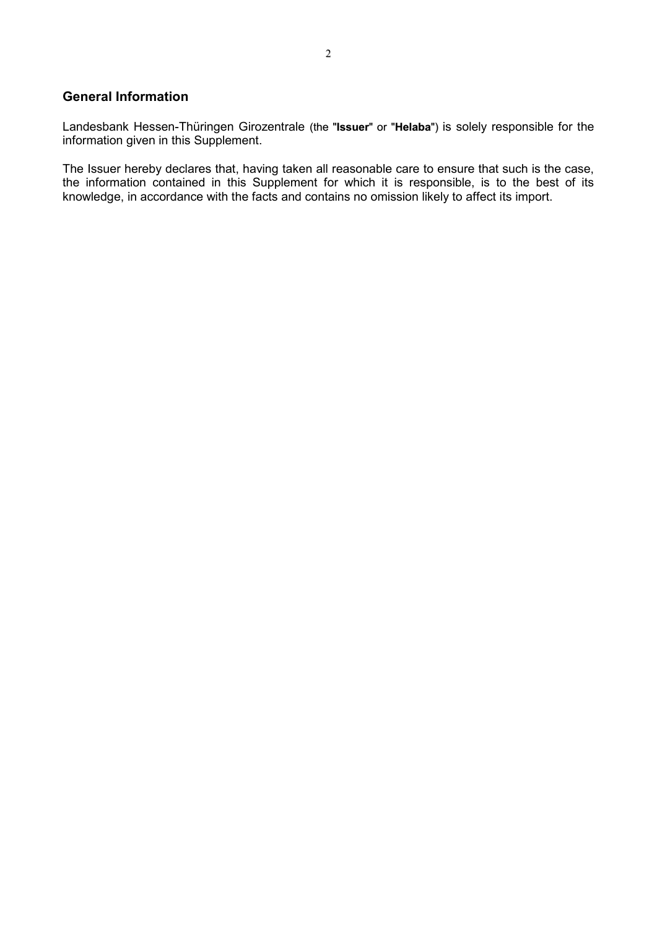#### **General Information**

Landesbank Hessen-Thüringen Girozentrale (the "**Issuer**" or "**Helaba**") is solely responsible for the information given in this Supplement.

The Issuer hereby declares that, having taken all reasonable care to ensure that such is the case, the information contained in this Supplement for which it is responsible, is to the best of its knowledge, in accordance with the facts and contains no omission likely to affect its import.